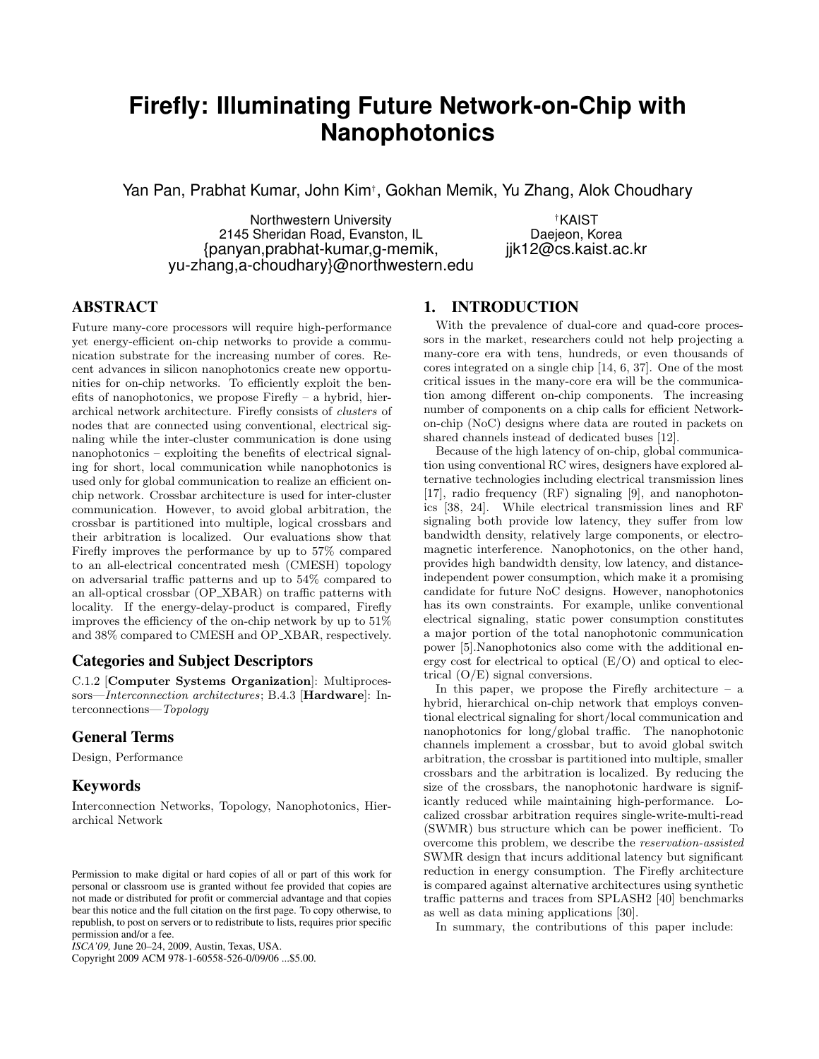# **Firefly: Illuminating Future Network-on-Chip with Nanophotonics**

Yan Pan, Prabhat Kumar, John Kim† , Gokhan Memik, Yu Zhang, Alok Choudhary

Northwestern University<br>
Sheridan Road, Evanston, IL
Bhaejeon, Korea 2145 Sheridan Road, Evanston, IL {panyan,prabhat-kumar,g-memik, jjk12@cs.kaist.ac.kr yu-zhang,a-choudhary}@northwestern.edu

# **ABSTRACT**

Future many-core processors will require high-performance yet energy-efficient on-chip networks to provide a communication substrate for the increasing number of cores. Recent advances in silicon nanophotonics create new opportunities for on-chip networks. To efficiently exploit the benefits of nanophotonics, we propose Firefly – a hybrid, hierarchical network architecture. Firefly consists of clusters of nodes that are connected using conventional, electrical signaling while the inter-cluster communication is done using nanophotonics – exploiting the benefits of electrical signaling for short, local communication while nanophotonics is used only for global communication to realize an efficient onchip network. Crossbar architecture is used for inter-cluster communication. However, to avoid global arbitration, the crossbar is partitioned into multiple, logical crossbars and their arbitration is localized. Our evaluations show that Firefly improves the performance by up to 57% compared to an all-electrical concentrated mesh (CMESH) topology on adversarial traffic patterns and up to 54% compared to an all-optical crossbar (OP XBAR) on traffic patterns with locality. If the energy-delay-product is compared, Firefly improves the efficiency of the on-chip network by up to 51% and 38% compared to CMESH and OP XBAR, respectively.

## **Categories and Subject Descriptors**

C.1.2 [Computer Systems Organization]: Multiprocessors—Interconnection architectures; B.4.3 [Hardware]: Interconnections—Topology

# **General Terms**

Design, Performance

# **Keywords**

Interconnection Networks, Topology, Nanophotonics, Hierarchical Network

Copyright 2009 ACM 978-1-60558-526-0/09/06 ...\$5.00.

# **1. INTRODUCTION**

With the prevalence of dual-core and quad-core processors in the market, researchers could not help projecting a many-core era with tens, hundreds, or even thousands of cores integrated on a single chip [14, 6, 37]. One of the most critical issues in the many-core era will be the communication among different on-chip components. The increasing number of components on a chip calls for efficient Networkon-chip (NoC) designs where data are routed in packets on shared channels instead of dedicated buses [12].

Because of the high latency of on-chip, global communication using conventional RC wires, designers have explored alternative technologies including electrical transmission lines [17], radio frequency (RF) signaling [9], and nanophotonics [38, 24]. While electrical transmission lines and RF signaling both provide low latency, they suffer from low bandwidth density, relatively large components, or electromagnetic interference. Nanophotonics, on the other hand, provides high bandwidth density, low latency, and distanceindependent power consumption, which make it a promising candidate for future NoC designs. However, nanophotonics has its own constraints. For example, unlike conventional electrical signaling, static power consumption constitutes a major portion of the total nanophotonic communication power [5].Nanophotonics also come with the additional energy cost for electrical to optical (E/O) and optical to electrical (O/E) signal conversions.

In this paper, we propose the Firefly architecture  $-$  a hybrid, hierarchical on-chip network that employs conventional electrical signaling for short/local communication and nanophotonics for long/global traffic. The nanophotonic channels implement a crossbar, but to avoid global switch arbitration, the crossbar is partitioned into multiple, smaller crossbars and the arbitration is localized. By reducing the size of the crossbars, the nanophotonic hardware is significantly reduced while maintaining high-performance. Localized crossbar arbitration requires single-write-multi-read (SWMR) bus structure which can be power inefficient. To overcome this problem, we describe the reservation-assisted SWMR design that incurs additional latency but significant reduction in energy consumption. The Firefly architecture is compared against alternative architectures using synthetic traffic patterns and traces from SPLASH2 [40] benchmarks as well as data mining applications [30].

In summary, the contributions of this paper include:

Permission to make digital or hard copies of all or part of this work for personal or classroom use is granted without fee provided that copies are not made or distributed for profit or commercial advantage and that copies bear this notice and the full citation on the first page. To copy otherwise, to republish, to post on servers or to redistribute to lists, requires prior specific permission and/or a fee.

*ISCA'09,* June 20–24, 2009, Austin, Texas, USA.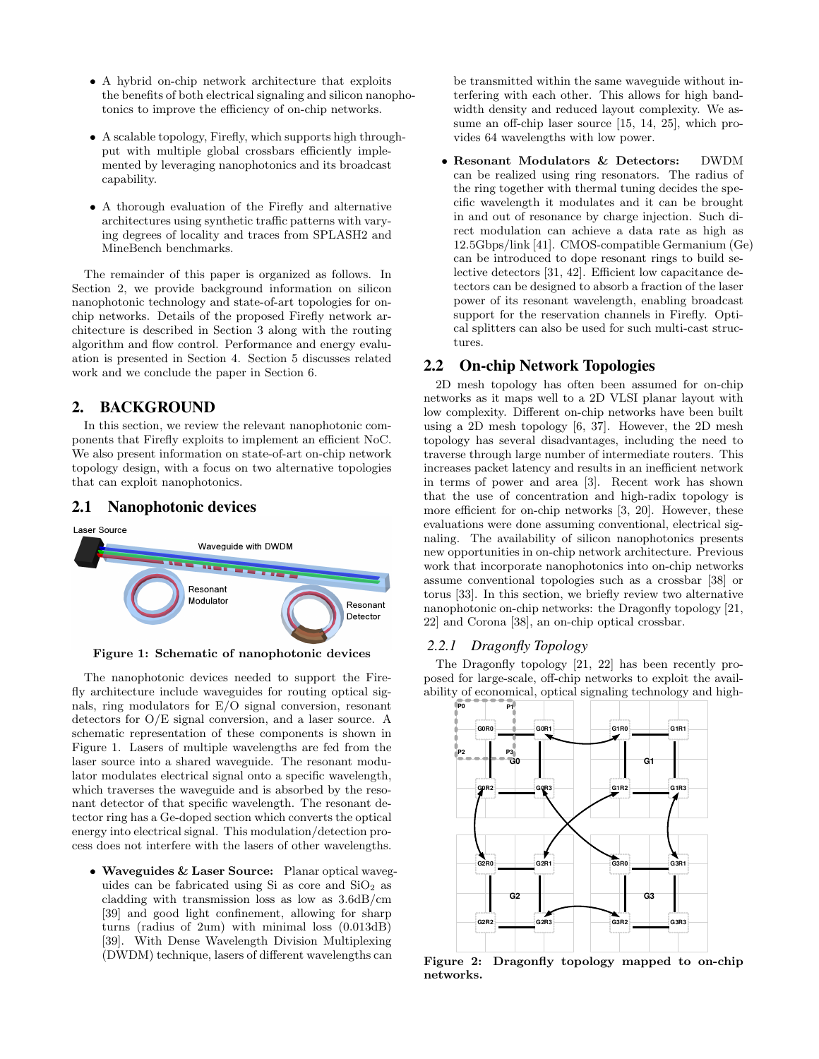- A hybrid on-chip network architecture that exploits the benefits of both electrical signaling and silicon nanophotonics to improve the efficiency of on-chip networks.
- A scalable topology, Firefly, which supports high throughput with multiple global crossbars efficiently implemented by leveraging nanophotonics and its broadcast capability.
- A thorough evaluation of the Firefly and alternative architectures using synthetic traffic patterns with varying degrees of locality and traces from SPLASH2 and MineBench benchmarks.

The remainder of this paper is organized as follows. In Section 2, we provide background information on silicon nanophotonic technology and state-of-art topologies for onchip networks. Details of the proposed Firefly network architecture is described in Section 3 along with the routing algorithm and flow control. Performance and energy evaluation is presented in Section 4. Section 5 discusses related work and we conclude the paper in Section 6.

# **2. BACKGROUND**

In this section, we review the relevant nanophotonic components that Firefly exploits to implement an efficient NoC. We also present information on state-of-art on-chip network topology design, with a focus on two alternative topologies that can exploit nanophotonics.

## **2.1 Nanophotonic devices**



Figure 1: Schematic of nanophotonic devices

The nanophotonic devices needed to support the Firefly architecture include waveguides for routing optical signals, ring modulators for E/O signal conversion, resonant detectors for O/E signal conversion, and a laser source. A schematic representation of these components is shown in Figure 1. Lasers of multiple wavelengths are fed from the laser source into a shared waveguide. The resonant modulator modulates electrical signal onto a specific wavelength, which traverses the waveguide and is absorbed by the resonant detector of that specific wavelength. The resonant detector ring has a Ge-doped section which converts the optical energy into electrical signal. This modulation/detection process does not interfere with the lasers of other wavelengths.

• Waveguides & Laser Source: Planar optical waveguides can be fabricated using Si as core and  $SiO<sub>2</sub>$  as cladding with transmission loss as low as 3.6dB/cm [39] and good light confinement, allowing for sharp turns (radius of 2um) with minimal loss (0.013dB) [39]. With Dense Wavelength Division Multiplexing (DWDM) technique, lasers of different wavelengths can

be transmitted within the same waveguide without interfering with each other. This allows for high bandwidth density and reduced layout complexity. We assume an off-chip laser source [15, 14, 25], which provides 64 wavelengths with low power.

• Resonant Modulators & Detectors: DWDM can be realized using ring resonators. The radius of the ring together with thermal tuning decides the specific wavelength it modulates and it can be brought in and out of resonance by charge injection. Such direct modulation can achieve a data rate as high as 12.5Gbps/link [41]. CMOS-compatible Germanium (Ge) can be introduced to dope resonant rings to build selective detectors [31, 42]. Efficient low capacitance detectors can be designed to absorb a fraction of the laser power of its resonant wavelength, enabling broadcast support for the reservation channels in Firefly. Optical splitters can also be used for such multi-cast structures.

## **2.2 On-chip Network Topologies**

2D mesh topology has often been assumed for on-chip networks as it maps well to a 2D VLSI planar layout with low complexity. Different on-chip networks have been built using a 2D mesh topology [6, 37]. However, the 2D mesh topology has several disadvantages, including the need to traverse through large number of intermediate routers. This increases packet latency and results in an inefficient network in terms of power and area [3]. Recent work has shown that the use of concentration and high-radix topology is more efficient for on-chip networks [3, 20]. However, these evaluations were done assuming conventional, electrical signaling. The availability of silicon nanophotonics presents new opportunities in on-chip network architecture. Previous work that incorporate nanophotonics into on-chip networks assume conventional topologies such as a crossbar [38] or torus [33]. In this section, we briefly review two alternative nanophotonic on-chip networks: the Dragonfly topology [21, 22] and Corona [38], an on-chip optical crossbar.

## *2.2.1 Dragonfly Topology*

The Dragonfly topology [21, 22] has been recently proposed for large-scale, off-chip networks to exploit the availability of economical, optical signaling technology and high-



Figure 2: Dragonfly topology mapped to on-chip networks.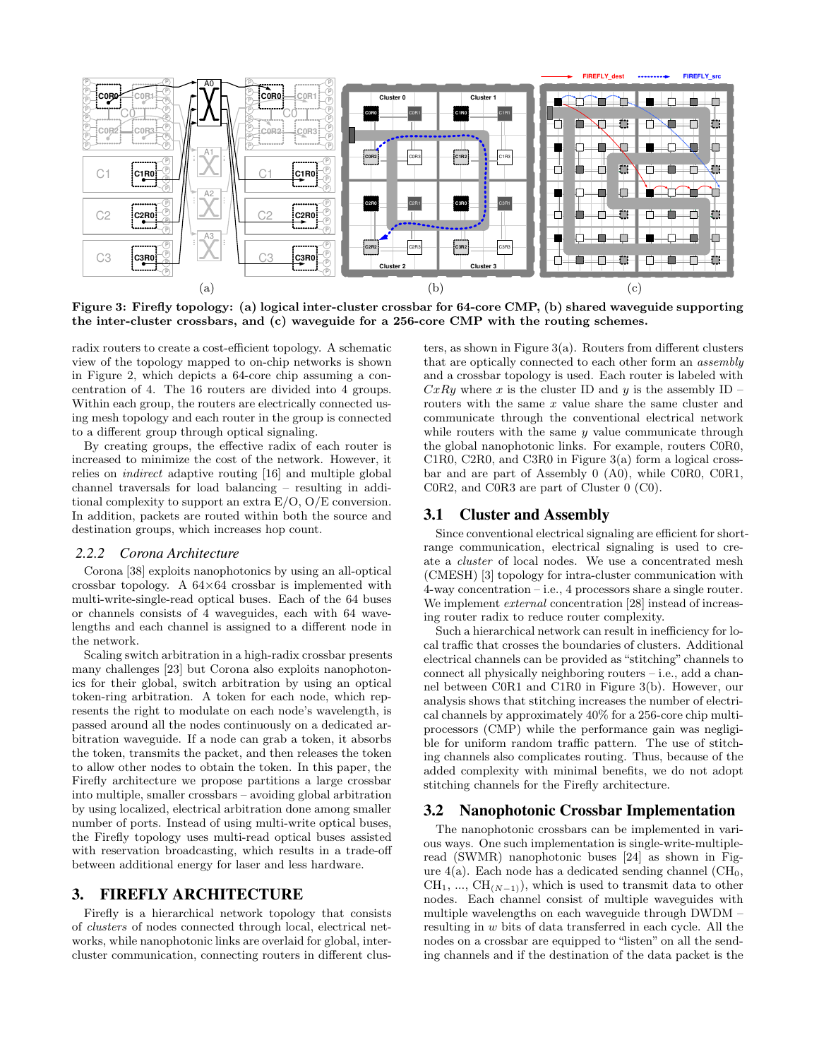

Figure 3: Firefly topology: (a) logical inter-cluster crossbar for 64-core CMP, (b) shared waveguide supporting the inter-cluster crossbars, and (c) waveguide for a 256-core CMP with the routing schemes.

radix routers to create a cost-efficient topology. A schematic view of the topology mapped to on-chip networks is shown in Figure 2, which depicts a 64-core chip assuming a concentration of 4. The 16 routers are divided into 4 groups. Within each group, the routers are electrically connected using mesh topology and each router in the group is connected to a different group through optical signaling.

By creating groups, the effective radix of each router is increased to minimize the cost of the network. However, it relies on indirect adaptive routing [16] and multiple global channel traversals for load balancing – resulting in additional complexity to support an extra E/O, O/E conversion. In addition, packets are routed within both the source and destination groups, which increases hop count.

#### *2.2.2 Corona Architecture*

Corona [38] exploits nanophotonics by using an all-optical crossbar topology. A 64×64 crossbar is implemented with multi-write-single-read optical buses. Each of the 64 buses or channels consists of 4 waveguides, each with 64 wavelengths and each channel is assigned to a different node in the network.

Scaling switch arbitration in a high-radix crossbar presents many challenges [23] but Corona also exploits nanophotonics for their global, switch arbitration by using an optical token-ring arbitration. A token for each node, which represents the right to modulate on each node's wavelength, is passed around all the nodes continuously on a dedicated arbitration waveguide. If a node can grab a token, it absorbs the token, transmits the packet, and then releases the token to allow other nodes to obtain the token. In this paper, the Firefly architecture we propose partitions a large crossbar into multiple, smaller crossbars – avoiding global arbitration by using localized, electrical arbitration done among smaller number of ports. Instead of using multi-write optical buses, the Firefly topology uses multi-read optical buses assisted with reservation broadcasting, which results in a trade-off between additional energy for laser and less hardware.

## **3. FIREFLY ARCHITECTURE**

Firefly is a hierarchical network topology that consists of clusters of nodes connected through local, electrical networks, while nanophotonic links are overlaid for global, intercluster communication, connecting routers in different clusters, as shown in Figure 3(a). Routers from different clusters that are optically connected to each other form an assembly and a crossbar topology is used. Each router is labeled with  $CxRy$  where x is the cluster ID and y is the assembly ID – routers with the same  $x$  value share the same cluster and communicate through the conventional electrical network while routers with the same  $y$  value communicate through the global nanophotonic links. For example, routers C0R0, C1R0, C2R0, and C3R0 in Figure 3(a) form a logical crossbar and are part of Assembly 0 (A0), while C0R0, C0R1, C0R2, and C0R3 are part of Cluster 0 (C0).

#### **3.1 Cluster and Assembly**

Since conventional electrical signaling are efficient for shortrange communication, electrical signaling is used to create a cluster of local nodes. We use a concentrated mesh (CMESH) [3] topology for intra-cluster communication with 4-way concentration – i.e., 4 processors share a single router. We implement *external* concentration [28] instead of increasing router radix to reduce router complexity.

Such a hierarchical network can result in inefficiency for local traffic that crosses the boundaries of clusters. Additional electrical channels can be provided as "stitching" channels to connect all physically neighboring routers – i.e., add a channel between C0R1 and C1R0 in Figure 3(b). However, our analysis shows that stitching increases the number of electrical channels by approximately 40% for a 256-core chip multiprocessors (CMP) while the performance gain was negligible for uniform random traffic pattern. The use of stitching channels also complicates routing. Thus, because of the added complexity with minimal benefits, we do not adopt stitching channels for the Firefly architecture.

#### **3.2 Nanophotonic Crossbar Implementation**

The nanophotonic crossbars can be implemented in various ways. One such implementation is single-write-multipleread (SWMR) nanophotonic buses [24] as shown in Figure  $4(a)$ . Each node has a dedicated sending channel  $(CH_0,$  $CH_1, ..., CH_{(N-1)}$ , which is used to transmit data to other nodes. Each channel consist of multiple waveguides with multiple wavelengths on each waveguide through DWDM – resulting in w bits of data transferred in each cycle. All the nodes on a crossbar are equipped to "listen" on all the sending channels and if the destination of the data packet is the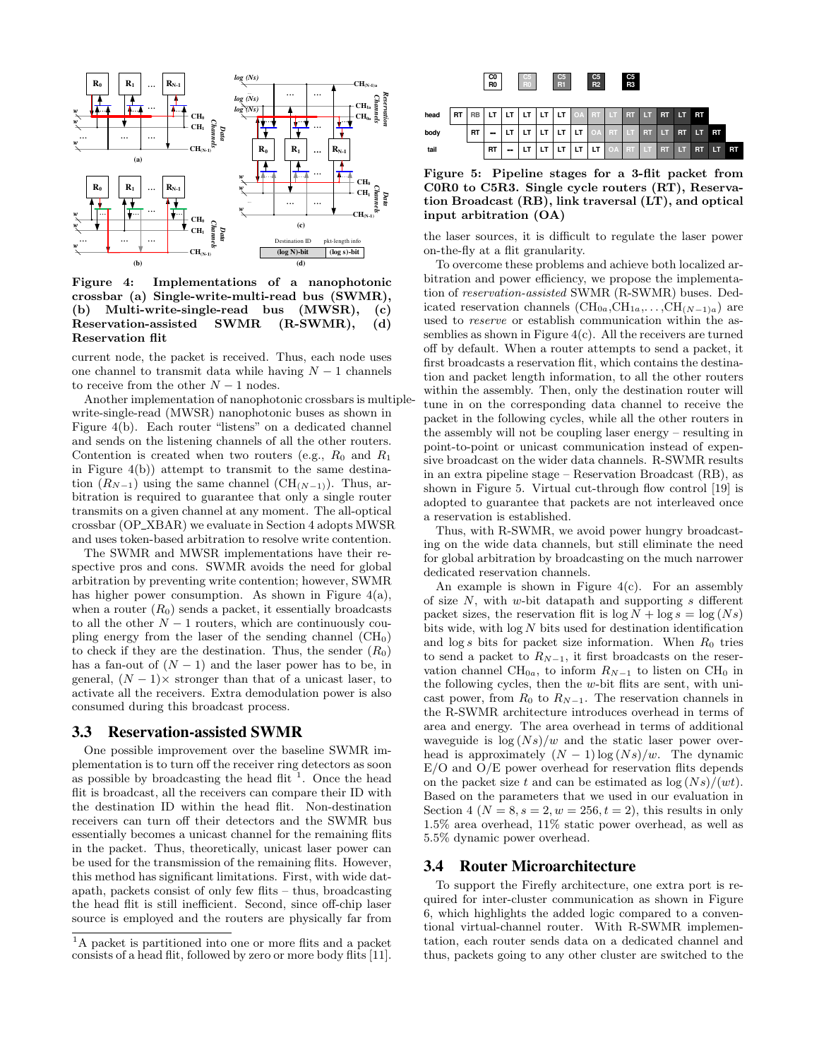

Figure 4: Implementations of a nanophotonic crossbar (a) Single-write-multi-read bus (SWMR), (b) Multi-write-single-read bus (MWSR), (c)<br>Reservation-assisted SWMR (R-SWMR), (d) Reservation-assisted SWMR (R-SWMR), Reservation flit

current node, the packet is received. Thus, each node uses one channel to transmit data while having  $N-1$  channels to receive from the other  $N-1$  nodes.

Another implementation of nanophotonic crossbars is multiplewrite-single-read (MWSR) nanophotonic buses as shown in Figure 4(b). Each router "listens" on a dedicated channel and sends on the listening channels of all the other routers. Contention is created when two routers (e.g.,  $R_0$  and  $R_1$ ) in Figure 4(b)) attempt to transmit to the same destination  $(R_{N-1})$  using the same channel  $(CH_{(N-1)})$ . Thus, arbitration is required to guarantee that only a single router transmits on a given channel at any moment. The all-optical crossbar (OP XBAR) we evaluate in Section 4 adopts MWSR and uses token-based arbitration to resolve write contention.

The SWMR and MWSR implementations have their respective pros and cons. SWMR avoids the need for global arbitration by preventing write contention; however, SWMR has higher power consumption. As shown in Figure  $4(a)$ , when a router  $(R_0)$  sends a packet, it essentially broadcasts to all the other  $N-1$  routers, which are continuously coupling energy from the laser of the sending channel  $(CH_0)$ to check if they are the destination. Thus, the sender  $(R_0)$ has a fan-out of  $(N - 1)$  and the laser power has to be, in general,  $(N-1)\times$  stronger than that of a unicast laser, to activate all the receivers. Extra demodulation power is also consumed during this broadcast process.

## **3.3 Reservation-assisted SWMR**

One possible improvement over the baseline SWMR implementation is to turn off the receiver ring detectors as soon as possible by broadcasting the head flit<sup>1</sup>. Once the head flit is broadcast, all the receivers can compare their ID with the destination ID within the head flit. Non-destination receivers can turn off their detectors and the SWMR bus essentially becomes a unicast channel for the remaining flits in the packet. Thus, theoretically, unicast laser power can be used for the transmission of the remaining flits. However, this method has significant limitations. First, with wide datapath, packets consist of only few flits – thus, broadcasting the head flit is still inefficient. Second, since off-chip laser source is employed and the routers are physically far from



Figure 5: Pipeline stages for a 3-flit packet from C0R0 to C5R3. Single cycle routers (RT), Reservation Broadcast (RB), link traversal (LT), and optical input arbitration (OA)

the laser sources, it is difficult to regulate the laser power on-the-fly at a flit granularity.

To overcome these problems and achieve both localized arbitration and power efficiency, we propose the implementation of reservation-assisted SWMR (R-SWMR) buses. Dedicated reservation channels  $(\text{CH}_{0a}, \text{CH}_{1a}, \ldots, \text{CH}_{(N-1)a})$  are used to reserve or establish communication within the assemblies as shown in Figure  $4(c)$ . All the receivers are turned off by default. When a router attempts to send a packet, it first broadcasts a reservation flit, which contains the destination and packet length information, to all the other routers within the assembly. Then, only the destination router will tune in on the corresponding data channel to receive the packet in the following cycles, while all the other routers in the assembly will not be coupling laser energy – resulting in point-to-point or unicast communication instead of expensive broadcast on the wider data channels. R-SWMR results in an extra pipeline stage – Reservation Broadcast (RB), as shown in Figure 5. Virtual cut-through flow control [19] is adopted to guarantee that packets are not interleaved once a reservation is established.

Thus, with R-SWMR, we avoid power hungry broadcasting on the wide data channels, but still eliminate the need for global arbitration by broadcasting on the much narrower dedicated reservation channels.

An example is shown in Figure  $4(c)$ . For an assembly of size  $N$ , with w-bit datapath and supporting s different packet sizes, the reservation flit is  $\log N + \log s = \log(Ns)$ bits wide, with  $\log N$  bits used for destination identification and  $\log s$  bits for packet size information. When  $R_0$  tries to send a packet to  $R_{N-1}$ , it first broadcasts on the reservation channel CH<sub>0a</sub>, to inform  $R_{N-1}$  to listen on CH<sub>0</sub> in the following cycles, then the  $w$ -bit flits are sent, with unicast power, from  $R_0$  to  $R_{N-1}$ . The reservation channels in the R-SWMR architecture introduces overhead in terms of area and energy. The area overhead in terms of additional waveguide is  $\log(Ns)/w$  and the static laser power overhead is approximately  $(N-1) \log(Ns)/w$ . The dynamic E/O and O/E power overhead for reservation flits depends on the packet size t and can be estimated as  $\log(Ns)/(wt)$ . Based on the parameters that we used in our evaluation in Section 4 ( $N = 8, s = 2, w = 256, t = 2$ ), this results in only 1.5% area overhead, 11% static power overhead, as well as 5.5% dynamic power overhead.

#### **3.4 Router Microarchitecture**

To support the Firefly architecture, one extra port is required for inter-cluster communication as shown in Figure 6, which highlights the added logic compared to a conventional virtual-channel router. With R-SWMR implementation, each router sends data on a dedicated channel and thus, packets going to any other cluster are switched to the

<sup>1</sup>A packet is partitioned into one or more flits and a packet consists of a head flit, followed by zero or more body flits [11].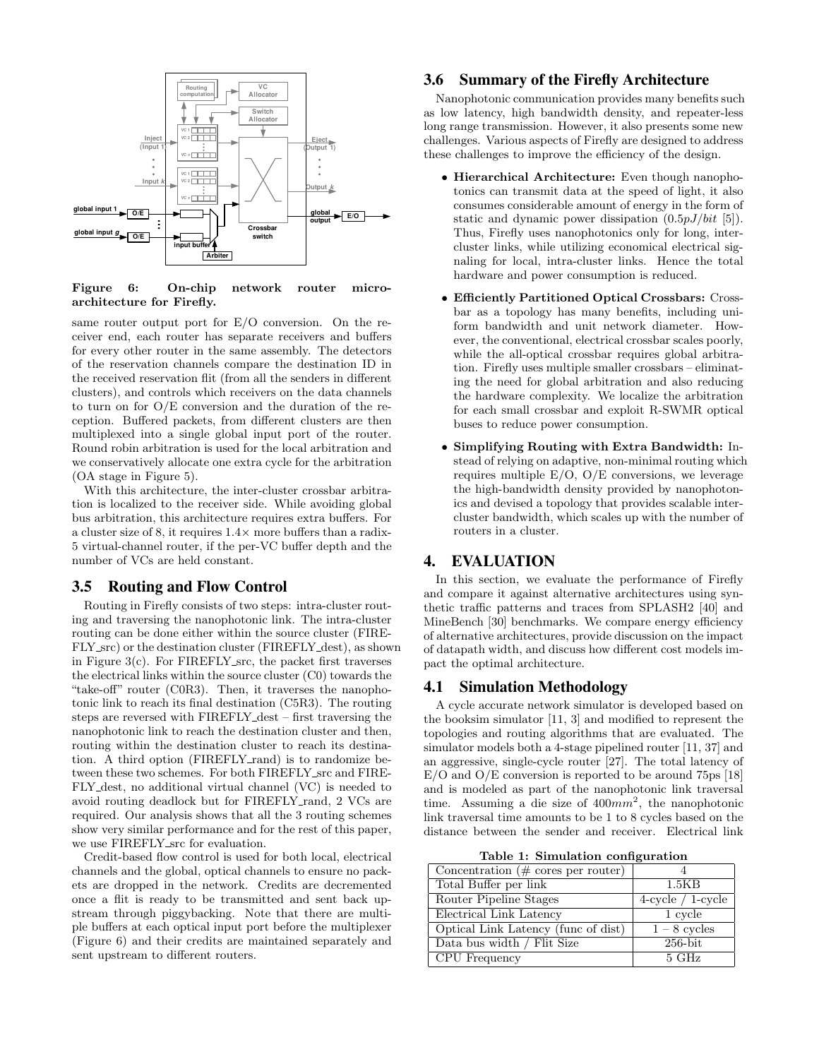

Figure 6: On-chip network router microarchitecture for Firefly.

same router output port for  $E/O$  conversion. On the receiver end, each router has separate receivers and buffers for every other router in the same assembly. The detectors of the reservation channels compare the destination ID in the received reservation flit (from all the senders in different clusters), and controls which receivers on the data channels to turn on for O/E conversion and the duration of the reception. Buffered packets, from different clusters are then multiplexed into a single global input port of the router. Round robin arbitration is used for the local arbitration and we conservatively allocate one extra cycle for the arbitration (OA stage in Figure 5).

With this architecture, the inter-cluster crossbar arbitration is localized to the receiver side. While avoiding global bus arbitration, this architecture requires extra buffers. For a cluster size of 8, it requires  $1.4\times$  more buffers than a radix-5 virtual-channel router, if the per-VC buffer depth and the number of VCs are held constant.

## **3.5 Routing and Flow Control**

Routing in Firefly consists of two steps: intra-cluster routing and traversing the nanophotonic link. The intra-cluster routing can be done either within the source cluster (FIRE-FLY\_src) or the destination cluster (FIREFLY\_dest), as shown in Figure 3(c). For FIREFLY\_src, the packet first traverses the electrical links within the source cluster (C0) towards the "take-off" router (C0R3). Then, it traverses the nanophotonic link to reach its final destination (C5R3). The routing steps are reversed with FIREFLY\_dest – first traversing the nanophotonic link to reach the destination cluster and then, routing within the destination cluster to reach its destination. A third option (FIREFLY\_rand) is to randomize between these two schemes. For both FIREFLY\_src and FIRE-FLY dest, no additional virtual channel (VC) is needed to avoid routing deadlock but for FIREFLY\_rand, 2 VCs are required. Our analysis shows that all the 3 routing schemes show very similar performance and for the rest of this paper, we use FIREFLY\_src for evaluation.

Credit-based flow control is used for both local, electrical channels and the global, optical channels to ensure no packets are dropped in the network. Credits are decremented once a flit is ready to be transmitted and sent back upstream through piggybacking. Note that there are multiple buffers at each optical input port before the multiplexer (Figure 6) and their credits are maintained separately and sent upstream to different routers.

## **3.6 Summary of the Firefly Architecture**

Nanophotonic communication provides many benefits such as low latency, high bandwidth density, and repeater-less long range transmission. However, it also presents some new challenges. Various aspects of Firefly are designed to address these challenges to improve the efficiency of the design.

- Hierarchical Architecture: Even though nanophotonics can transmit data at the speed of light, it also consumes considerable amount of energy in the form of static and dynamic power dissipation  $(0.5pJ/bit$  [5]). Thus, Firefly uses nanophotonics only for long, intercluster links, while utilizing economical electrical signaling for local, intra-cluster links. Hence the total hardware and power consumption is reduced.
- Efficiently Partitioned Optical Crossbars: Crossbar as a topology has many benefits, including uniform bandwidth and unit network diameter. However, the conventional, electrical crossbar scales poorly, while the all-optical crossbar requires global arbitration. Firefly uses multiple smaller crossbars – eliminating the need for global arbitration and also reducing the hardware complexity. We localize the arbitration for each small crossbar and exploit R-SWMR optical buses to reduce power consumption.
- Simplifying Routing with Extra Bandwidth: Instead of relying on adaptive, non-minimal routing which requires multiple  $E/O$ ,  $O/E$  conversions, we leverage the high-bandwidth density provided by nanophotonics and devised a topology that provides scalable intercluster bandwidth, which scales up with the number of routers in a cluster.

# **4. EVALUATION**

In this section, we evaluate the performance of Firefly and compare it against alternative architectures using synthetic traffic patterns and traces from SPLASH2 [40] and MineBench [30] benchmarks. We compare energy efficiency of alternative architectures, provide discussion on the impact of datapath width, and discuss how different cost models impact the optimal architecture.

## **4.1 Simulation Methodology**

A cycle accurate network simulator is developed based on the booksim simulator [11, 3] and modified to represent the topologies and routing algorithms that are evaluated. The simulator models both a 4-stage pipelined router [11, 37] and an aggressive, single-cycle router [27]. The total latency of E/O and O/E conversion is reported to be around 75ps [18] and is modeled as part of the nanophotonic link traversal time. Assuming a die size of  $400mm^2$ , the nanophotonic link traversal time amounts to be 1 to 8 cycles based on the distance between the sender and receiver. Electrical link

Table 1: Simulation configuration

| $\overline{\text{Concentration}}$ (# cores per router) |                      |
|--------------------------------------------------------|----------------------|
| Total Buffer per link                                  | 1.5KB                |
| Router Pipeline Stages                                 | $4$ -cycle / 1-cycle |
| Electrical Link Latency                                | 1 cycle              |
| Optical Link Latency (func of dist)                    | $1 - 8$ cycles       |
| Data bus width / Flit Size                             | $256$ -bit           |
| <b>CPU</b> Frequency                                   | $5 \text{ GHz}$      |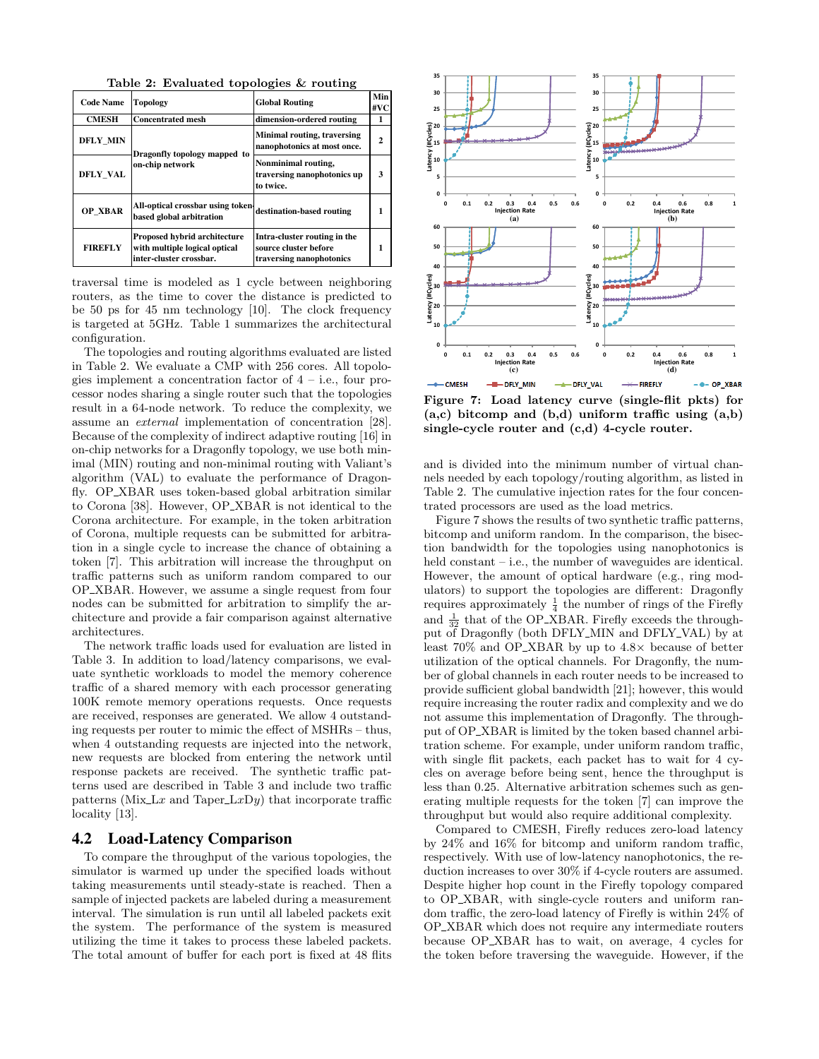Table 2: Evaluated topologies & routing

| <b>Code Name</b> | <b>Topology</b>                                                                                 | <b>Global Routing</b>                                                             | Min<br>#VC |
|------------------|-------------------------------------------------------------------------------------------------|-----------------------------------------------------------------------------------|------------|
| <b>CMESH</b>     | <b>Concentrated mesh</b>                                                                        | dimension-ordered routing                                                         | 1          |
| <b>DFLY MIN</b>  | Dragonfly topology mapped to                                                                    | Minimal routing, traversing<br>nanophotonics at most once.                        | 2          |
| <b>DFLY VAL</b>  | on-chip network                                                                                 | Nonminimal routing,<br>traversing nanophotonics up<br>to twice.                   | 3          |
| <b>OP XBAR</b>   | All-optical crossbar using token<br>based global arbitration                                    | destination-based routing                                                         |            |
| <b>FIREFLY</b>   | <b>Proposed hybrid architecture</b><br>with multiple logical optical<br>inter-cluster crossbar. | Intra-cluster routing in the<br>source cluster before<br>traversing nanophotonics |            |

traversal time is modeled as 1 cycle between neighboring routers, as the time to cover the distance is predicted to be 50 ps for 45 nm technology [10]. The clock frequency is targeted at 5GHz. Table 1 summarizes the architectural configuration.

The topologies and routing algorithms evaluated are listed in Table 2. We evaluate a CMP with 256 cores. All topologies implement a concentration factor of  $4 - i.e.,$  four processor nodes sharing a single router such that the topologies result in a 64-node network. To reduce the complexity, we assume an external implementation of concentration [28]. Because of the complexity of indirect adaptive routing [16] in on-chip networks for a Dragonfly topology, we use both minimal (MIN) routing and non-minimal routing with Valiant's algorithm (VAL) to evaluate the performance of Dragonfly. OP XBAR uses token-based global arbitration similar to Corona [38]. However, OP XBAR is not identical to the Corona architecture. For example, in the token arbitration of Corona, multiple requests can be submitted for arbitration in a single cycle to increase the chance of obtaining a token [7]. This arbitration will increase the throughput on traffic patterns such as uniform random compared to our OP XBAR. However, we assume a single request from four nodes can be submitted for arbitration to simplify the architecture and provide a fair comparison against alternative architectures.

The network traffic loads used for evaluation are listed in Table 3. In addition to load/latency comparisons, we evaluate synthetic workloads to model the memory coherence traffic of a shared memory with each processor generating 100K remote memory operations requests. Once requests are received, responses are generated. We allow 4 outstanding requests per router to mimic the effect of MSHRs – thus, when 4 outstanding requests are injected into the network, new requests are blocked from entering the network until response packets are received. The synthetic traffic patterns used are described in Table 3 and include two traffic patterns (Mix $\text{L}x$  and Taper $\text{L}x\text{D}y$ ) that incorporate traffic locality [13].

## **4.2 Load-Latency Comparison**

To compare the throughput of the various topologies, the simulator is warmed up under the specified loads without taking measurements until steady-state is reached. Then a sample of injected packets are labeled during a measurement interval. The simulation is run until all labeled packets exit the system. The performance of the system is measured utilizing the time it takes to process these labeled packets. The total amount of buffer for each port is fixed at 48 flits



Figure 7: Load latency curve (single-flit pkts) for  $(a, c)$  bitcomp and  $(b, d)$  uniform traffic using  $(a, b)$ single-cycle router and (c,d) 4-cycle router.

and is divided into the minimum number of virtual channels needed by each topology/routing algorithm, as listed in Table 2. The cumulative injection rates for the four concentrated processors are used as the load metrics.

Figure 7 shows the results of two synthetic traffic patterns, bitcomp and uniform random. In the comparison, the bisection bandwidth for the topologies using nanophotonics is held constant – i.e., the number of waveguides are identical. However, the amount of optical hardware (e.g., ring modulators) to support the topologies are different: Dragonfly requires approximately  $\frac{1}{4}$  the number of rings of the Firefly and  $\frac{1}{32}$  that of the OP\_XBAR. Firefly exceeds the throughput of Dragonfly (both DFLY\_MIN and DFLY\_VAL) by at least 70% and OP XBAR by up to 4.8× because of better utilization of the optical channels. For Dragonfly, the number of global channels in each router needs to be increased to provide sufficient global bandwidth [21]; however, this would require increasing the router radix and complexity and we do not assume this implementation of Dragonfly. The throughput of OP XBAR is limited by the token based channel arbitration scheme. For example, under uniform random traffic, with single flit packets, each packet has to wait for 4 cycles on average before being sent, hence the throughput is less than 0.25. Alternative arbitration schemes such as generating multiple requests for the token [7] can improve the throughput but would also require additional complexity.

Compared to CMESH, Firefly reduces zero-load latency by 24% and 16% for bitcomp and uniform random traffic, respectively. With use of low-latency nanophotonics, the reduction increases to over 30% if 4-cycle routers are assumed. Despite higher hop count in the Firefly topology compared to OP XBAR, with single-cycle routers and uniform random traffic, the zero-load latency of Firefly is within 24% of OP XBAR which does not require any intermediate routers because OP XBAR has to wait, on average, 4 cycles for the token before traversing the waveguide. However, if the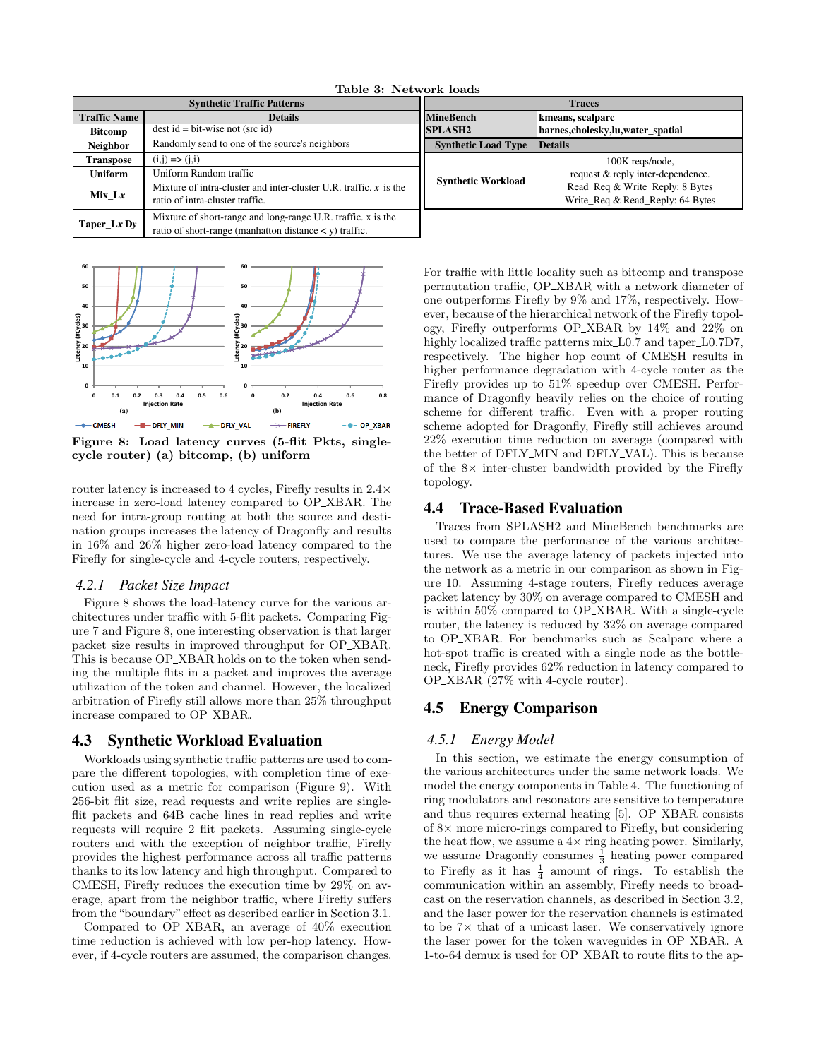| TUDIC OF THE WOLK TOUGH           |                                                                                                                             |                            |                                                                     |
|-----------------------------------|-----------------------------------------------------------------------------------------------------------------------------|----------------------------|---------------------------------------------------------------------|
| <b>Synthetic Traffic Patterns</b> |                                                                                                                             | <b>Traces</b>              |                                                                     |
| <b>Traffic Name</b>               | <b>Details</b>                                                                                                              | <b>MineBench</b>           | kmeans, scalparc                                                    |
| <b>Bitcomp</b>                    | $dest id = bit-wise not (src id)$                                                                                           | <b>SPLASH2</b>             | barnes, cholesky, lu, water spatial                                 |
| <b>Neighbor</b>                   | Randomly send to one of the source's neighbors                                                                              | <b>Synthetic Load Type</b> | <b>Details</b>                                                      |
| Transpose                         | $(i,j) \Rightarrow (j,i)$                                                                                                   | <b>Synthetic Workload</b>  | 100K reqs/node,                                                     |
| Uniform                           | Uniform Random traffic                                                                                                      |                            | request & reply inter-dependence.                                   |
| Mix Lx                            | Mixture of intra-cluster and inter-cluster U.R. traffic. $x$ is the<br>ratio of intra-cluster traffic.                      |                            | Read_Req & Write_Reply: 8 Bytes<br>Write_Req & Read_Reply: 64 Bytes |
| Taper_Lx $Dy$                     | Mixture of short-range and long-range U.R. traffic. x is the<br>ratio of short-range (manhatton distance $\lt y$ ) traffic. |                            |                                                                     |

Table 3: Network loads



Figure 8: Load latency curves (5-flit Pkts, singlecycle router) (a) bitcomp, (b) uniform

router latency is increased to 4 cycles, Firefly results in 2.4× increase in zero-load latency compared to OP XBAR. The need for intra-group routing at both the source and destination groups increases the latency of Dragonfly and results in 16% and 26% higher zero-load latency compared to the Firefly for single-cycle and 4-cycle routers, respectively.

#### *4.2.1 Packet Size Impact*

Figure 8 shows the load-latency curve for the various architectures under traffic with 5-flit packets. Comparing Figure 7 and Figure 8, one interesting observation is that larger packet size results in improved throughput for OP XBAR. This is because OP\_XBAR holds on to the token when sending the multiple flits in a packet and improves the average utilization of the token and channel. However, the localized arbitration of Firefly still allows more than 25% throughput increase compared to OP XBAR.

### **4.3 Synthetic Workload Evaluation**

Workloads using synthetic traffic patterns are used to compare the different topologies, with completion time of execution used as a metric for comparison (Figure 9). With 256-bit flit size, read requests and write replies are singleflit packets and 64B cache lines in read replies and write requests will require 2 flit packets. Assuming single-cycle routers and with the exception of neighbor traffic, Firefly provides the highest performance across all traffic patterns thanks to its low latency and high throughput. Compared to CMESH, Firefly reduces the execution time by 29% on average, apart from the neighbor traffic, where Firefly suffers from the "boundary"effect as described earlier in Section 3.1.

Compared to OP XBAR, an average of 40% execution time reduction is achieved with low per-hop latency. However, if 4-cycle routers are assumed, the comparison changes. For traffic with little locality such as bitcomp and transpose permutation traffic, OP XBAR with a network diameter of one outperforms Firefly by 9% and 17%, respectively. However, because of the hierarchical network of the Firefly topology, Firefly outperforms OP XBAR by 14% and 22% on highly localized traffic patterns mix L0.7 and taper L0.7D7, respectively. The higher hop count of CMESH results in higher performance degradation with 4-cycle router as the Firefly provides up to 51% speedup over CMESH. Performance of Dragonfly heavily relies on the choice of routing scheme for different traffic. Even with a proper routing scheme adopted for Dragonfly, Firefly still achieves around 22% execution time reduction on average (compared with the better of DFLY\_MIN and DFLY\_VAL). This is because of the 8× inter-cluster bandwidth provided by the Firefly topology.

## **4.4 Trace-Based Evaluation**

Traces from SPLASH2 and MineBench benchmarks are used to compare the performance of the various architectures. We use the average latency of packets injected into the network as a metric in our comparison as shown in Figure 10. Assuming 4-stage routers, Firefly reduces average packet latency by 30% on average compared to CMESH and is within 50% compared to OP XBAR. With a single-cycle router, the latency is reduced by 32% on average compared to OP XBAR. For benchmarks such as Scalparc where a hot-spot traffic is created with a single node as the bottleneck, Firefly provides 62% reduction in latency compared to OP XBAR (27% with 4-cycle router).

## **4.5 Energy Comparison**

#### *4.5.1 Energy Model*

In this section, we estimate the energy consumption of the various architectures under the same network loads. We model the energy components in Table 4. The functioning of ring modulators and resonators are sensitive to temperature and thus requires external heating [5]. OP XBAR consists of 8× more micro-rings compared to Firefly, but considering the heat flow, we assume a  $4\times$  ring heating power. Similarly, we assume Dragonfly consumes  $\frac{1}{3}$  heating power compared to Firefly as it has  $\frac{1}{4}$  amount of rings. To establish the communication within an assembly, Firefly needs to broadcast on the reservation channels, as described in Section 3.2, and the laser power for the reservation channels is estimated to be 7× that of a unicast laser. We conservatively ignore the laser power for the token waveguides in OP XBAR. A 1-to-64 demux is used for OP XBAR to route flits to the ap-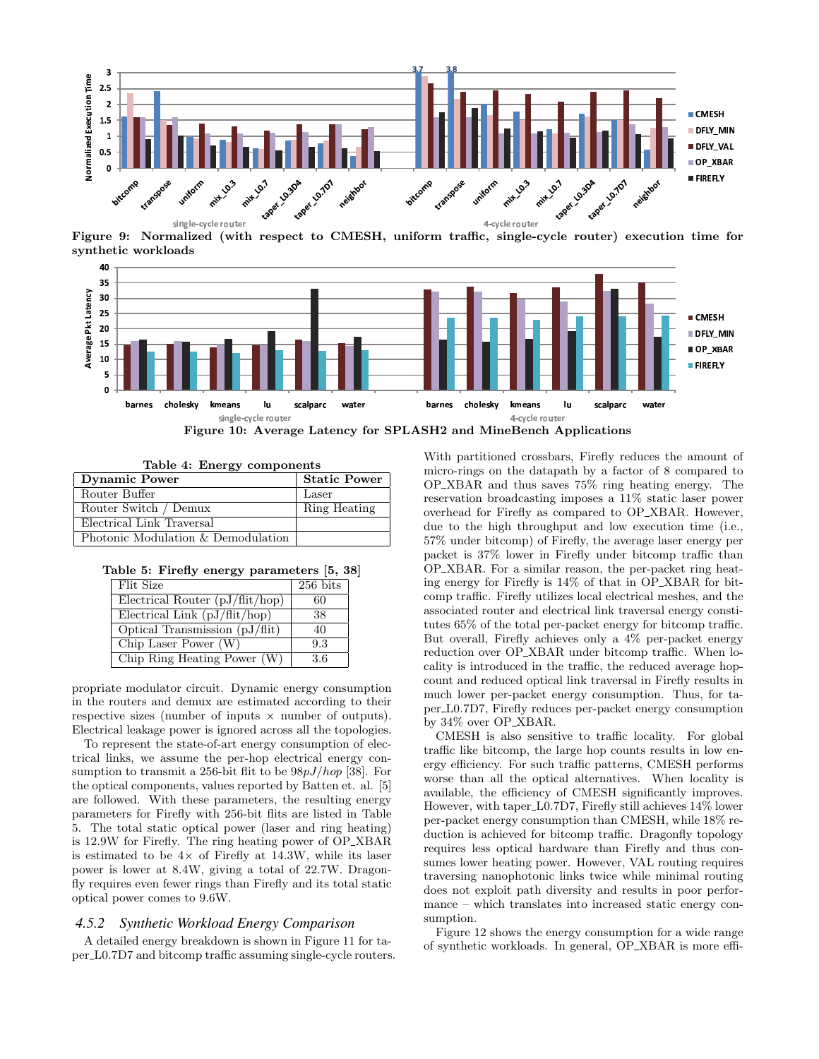

Figure 9: Normalized (with respect to CMESH, uniform traffic, single-cycle router) execution time for synthetic workloads



|  |  | Table 4: Energy components |
|--|--|----------------------------|
|--|--|----------------------------|

| Dynamic Power                      | <b>Static Power</b> |
|------------------------------------|---------------------|
| Router Buffer                      | Laser               |
| Router Switch / Demux              | Ring Heating        |
| Electrical Link Traversal          |                     |
| Photonic Modulation & Demodulation |                     |

|  |  |  | Table 5: Firefly energy parameters [5, 38] |  |  |  |
|--|--|--|--------------------------------------------|--|--|--|
|--|--|--|--------------------------------------------|--|--|--|

| Flit Size                              | $\overline{256}$ bits |
|----------------------------------------|-----------------------|
| Electrical Router $(pJ/flit/hop)$      | 60                    |
| Electrical Link $(pJ/flit/hop)$        | 38                    |
| Optical Transmission $(pJ/\text{fit})$ | 40                    |
| Chip Laser Power $(W)$                 | 9.3                   |
| Chip Ring Heating Power $(W)$          | 3.6                   |

propriate modulator circuit. Dynamic energy consumption in the routers and demux are estimated according to their respective sizes (number of inputs  $\times$  number of outputs). Electrical leakage power is ignored across all the topologies.

To represent the state-of-art energy consumption of electrical links, we assume the per-hop electrical energy consumption to transmit a 256-bit flit to be  $98pJ/hop$  [38]. For the optical components, values reported by Batten et. al. [5] are followed. With these parameters, the resulting energy parameters for Firefly with 256-bit flits are listed in Table 5. The total static optical power (laser and ring heating) is 12.9W for Firefly. The ring heating power of OP XBAR is estimated to be  $4\times$  of Firefly at 14.3W, while its laser power is lower at 8.4W, giving a total of 22.7W. Dragonfly requires even fewer rings than Firefly and its total static optical power comes to 9.6W.

#### *4.5.2 Synthetic Workload Energy Comparison*

A detailed energy breakdown is shown in Figure 11 for taper L0.7D7 and bitcomp traffic assuming single-cycle routers. With partitioned crossbars, Firefly reduces the amount of micro-rings on the datapath by a factor of 8 compared to OP XBAR and thus saves 75% ring heating energy. The reservation broadcasting imposes a 11% static laser power overhead for Firefly as compared to OP XBAR. However, due to the high throughput and low execution time (i.e., 57% under bitcomp) of Firefly, the average laser energy per packet is 37% lower in Firefly under bitcomp traffic than OP XBAR. For a similar reason, the per-packet ring heating energy for Firefly is 14% of that in OP XBAR for bitcomp traffic. Firefly utilizes local electrical meshes, and the associated router and electrical link traversal energy constitutes 65% of the total per-packet energy for bitcomp traffic. But overall, Firefly achieves only a 4% per-packet energy reduction over OP XBAR under bitcomp traffic. When locality is introduced in the traffic, the reduced average hopcount and reduced optical link traversal in Firefly results in much lower per-packet energy consumption. Thus, for taper L0.7D7, Firefly reduces per-packet energy consumption by 34% over OP XBAR.

CMESH is also sensitive to traffic locality. For global traffic like bitcomp, the large hop counts results in low energy efficiency. For such traffic patterns, CMESH performs worse than all the optical alternatives. When locality is available, the efficiency of CMESH significantly improves. However, with taper\_L0.7D7, Firefly still achieves  $14\%$  lower per-packet energy consumption than CMESH, while 18% reduction is achieved for bitcomp traffic. Dragonfly topology requires less optical hardware than Firefly and thus consumes lower heating power. However, VAL routing requires traversing nanophotonic links twice while minimal routing does not exploit path diversity and results in poor performance – which translates into increased static energy consumption.

Figure 12 shows the energy consumption for a wide range of synthetic workloads. In general, OP XBAR is more effi-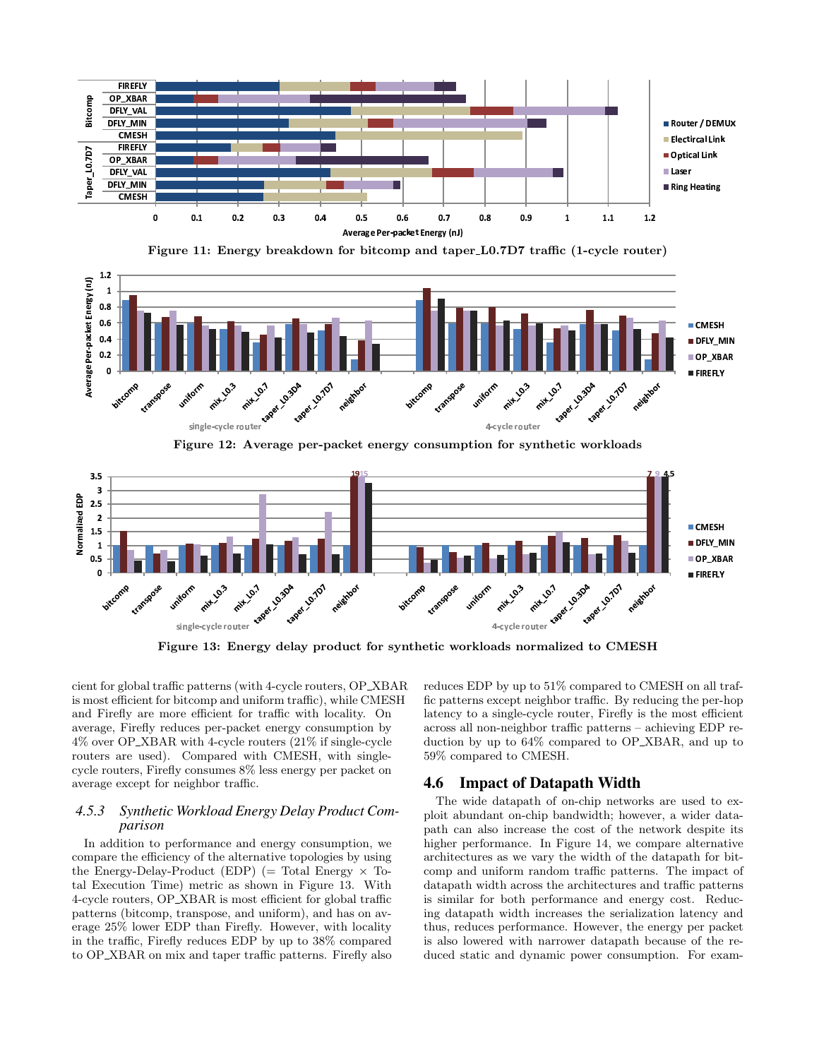

Figure 11: Energy breakdown for bitcomp and taper L0.7D7 traffic (1-cycle router)





Figure 13: Energy delay product for synthetic workloads normalized to CMESH

cient for global traffic patterns (with 4-cycle routers, OP XBAR is most efficient for bitcomp and uniform traffic), while CMESH and Firefly are more efficient for traffic with locality. On average, Firefly reduces per-packet energy consumption by 4% over OP XBAR with 4-cycle routers (21% if single-cycle routers are used). Compared with CMESH, with singlecycle routers, Firefly consumes 8% less energy per packet on average except for neighbor traffic.

#### *4.5.3 Synthetic Workload Energy Delay Product Comparison*

In addition to performance and energy consumption, we compare the efficiency of the alternative topologies by using the Energy-Delay-Product (EDP) (= Total Energy  $\times$  Total Execution Time) metric as shown in Figure 13. With 4-cycle routers, OP XBAR is most efficient for global traffic patterns (bitcomp, transpose, and uniform), and has on average 25% lower EDP than Firefly. However, with locality in the traffic, Firefly reduces EDP by up to 38% compared to OP XBAR on mix and taper traffic patterns. Firefly also

reduces EDP by up to 51% compared to CMESH on all traffic patterns except neighbor traffic. By reducing the per-hop latency to a single-cycle router, Firefly is the most efficient across all non-neighbor traffic patterns – achieving EDP reduction by up to 64% compared to OP XBAR, and up to 59% compared to CMESH.

# **4.6 Impact of Datapath Width**

The wide datapath of on-chip networks are used to exploit abundant on-chip bandwidth; however, a wider datapath can also increase the cost of the network despite its higher performance. In Figure 14, we compare alternative architectures as we vary the width of the datapath for bitcomp and uniform random traffic patterns. The impact of datapath width across the architectures and traffic patterns is similar for both performance and energy cost. Reducing datapath width increases the serialization latency and thus, reduces performance. However, the energy per packet is also lowered with narrower datapath because of the reduced static and dynamic power consumption. For exam-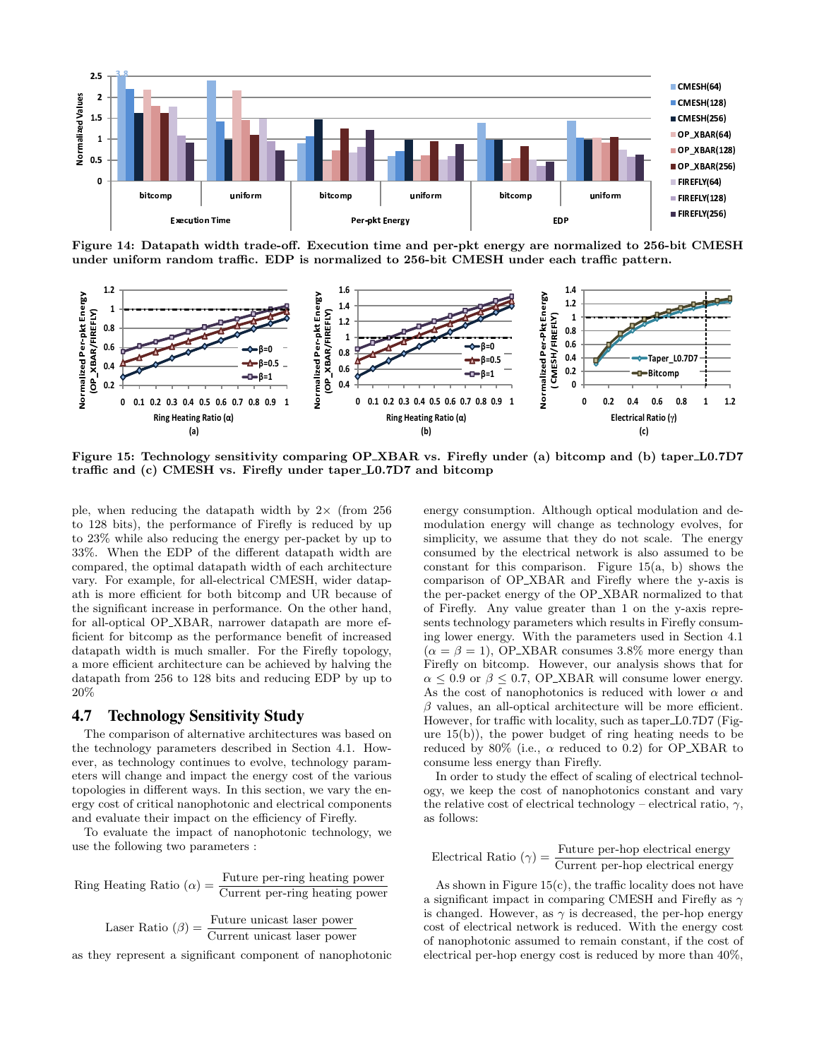

Figure 14: Datapath width trade-off. Execution time and per-pkt energy are normalized to 256-bit CMESH under uniform random traffic. EDP is normalized to 256-bit CMESH under each traffic pattern.



Figure 15: Technology sensitivity comparing OP XBAR vs. Firefly under (a) bitcomp and (b) taper L0.7D7 traffic and (c) CMESH vs. Firefly under taper L0.7D7 and bitcomp

ple, when reducing the datapath width by  $2\times$  (from 256) to 128 bits), the performance of Firefly is reduced by up to 23% while also reducing the energy per-packet by up to 33%. When the EDP of the different datapath width are compared, the optimal datapath width of each architecture vary. For example, for all-electrical CMESH, wider datapath is more efficient for both bitcomp and UR because of the significant increase in performance. On the other hand, for all-optical OP XBAR, narrower datapath are more efficient for bitcomp as the performance benefit of increased datapath width is much smaller. For the Firefly topology, a more efficient architecture can be achieved by halving the datapath from 256 to 128 bits and reducing EDP by up to 20%

## **4.7 Technology Sensitivity Study**

The comparison of alternative architectures was based on the technology parameters described in Section 4.1. However, as technology continues to evolve, technology parameters will change and impact the energy cost of the various topologies in different ways. In this section, we vary the energy cost of critical nanophotonic and electrical components and evaluate their impact on the efficiency of Firefly.

To evaluate the impact of nanophotonic technology, we use the following two parameters :

Ring Heating Ratio  $(\alpha) = \frac{\text{Future per-ring heating power}}{\text{Current per-ring heating power}}$ 

Laser Ratio  $(\beta) = \frac{\text{Future unicast laser power}}{\text{Current unicast laser power}}$ 

as they represent a significant component of nanophotonic

energy consumption. Although optical modulation and demodulation energy will change as technology evolves, for simplicity, we assume that they do not scale. The energy consumed by the electrical network is also assumed to be constant for this comparison. Figure  $15(a, b)$  shows the comparison of OP XBAR and Firefly where the y-axis is the per-packet energy of the OP XBAR normalized to that of Firefly. Any value greater than 1 on the y-axis represents technology parameters which results in Firefly consuming lower energy. With the parameters used in Section 4.1  $(\alpha = \beta = 1)$ , OP\_XBAR consumes 3.8% more energy than Firefly on bitcomp. However, our analysis shows that for  $\alpha \leq 0.9$  or  $\beta \leq 0.7$ , OP\_XBAR will consume lower energy. As the cost of nanophotonics is reduced with lower  $\alpha$  and  $\beta$  values, an all-optical architecture will be more efficient. However, for traffic with locality, such as taper L0.7D7 (Figure 15(b)), the power budget of ring heating needs to be reduced by 80% (i.e.,  $\alpha$  reduced to 0.2) for OP\_XBAR to consume less energy than Firefly.

In order to study the effect of scaling of electrical technology, we keep the cost of nanophotonics constant and vary the relative cost of electrical technology – electrical ratio,  $\gamma$ , as follows:

Electrical Ratio  $(\gamma) = \frac{\text{Future per-hop electrical energy}}{\text{Current per-hop electrical energy}}$ 

As shown in Figure  $15(c)$ , the traffic locality does not have a significant impact in comparing CMESH and Firefly as  $\gamma$ is changed. However, as  $\gamma$  is decreased, the per-hop energy cost of electrical network is reduced. With the energy cost of nanophotonic assumed to remain constant, if the cost of electrical per-hop energy cost is reduced by more than 40%,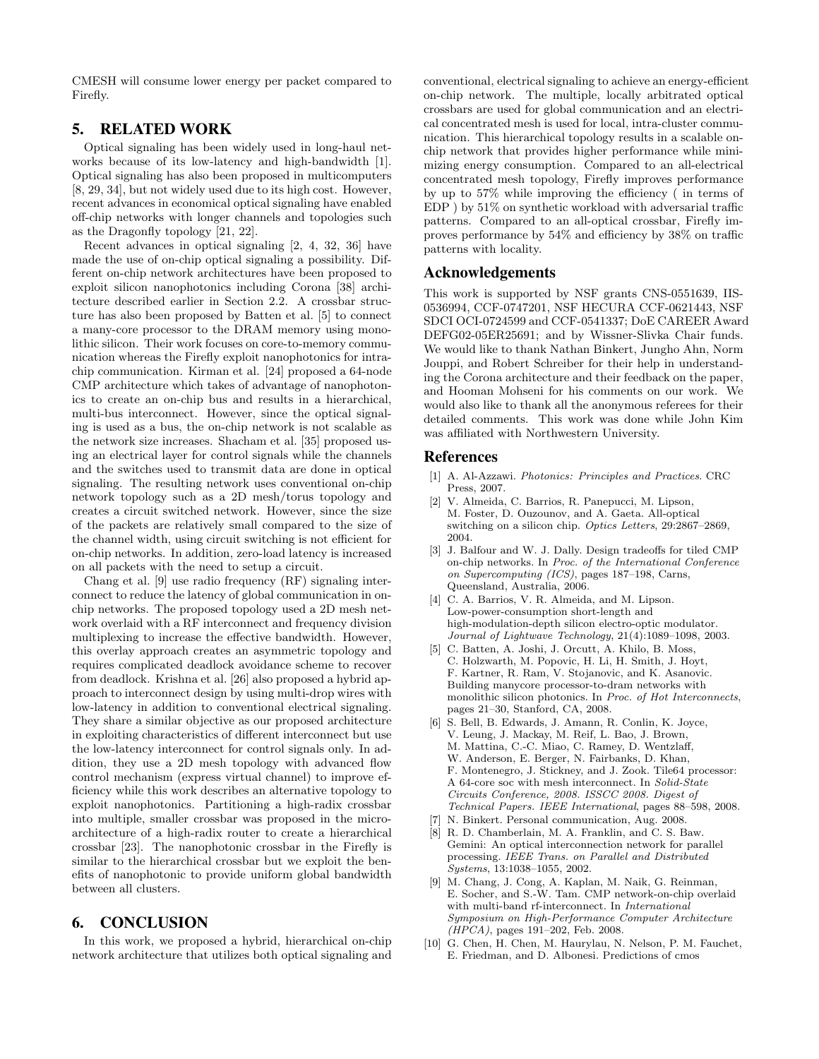CMESH will consume lower energy per packet compared to Firefly.

# **5. RELATED WORK**

Optical signaling has been widely used in long-haul networks because of its low-latency and high-bandwidth [1]. Optical signaling has also been proposed in multicomputers [8, 29, 34], but not widely used due to its high cost. However, recent advances in economical optical signaling have enabled off-chip networks with longer channels and topologies such as the Dragonfly topology [21, 22].

Recent advances in optical signaling [2, 4, 32, 36] have made the use of on-chip optical signaling a possibility. Different on-chip network architectures have been proposed to exploit silicon nanophotonics including Corona [38] architecture described earlier in Section 2.2. A crossbar structure has also been proposed by Batten et al. [5] to connect a many-core processor to the DRAM memory using monolithic silicon. Their work focuses on core-to-memory communication whereas the Firefly exploit nanophotonics for intrachip communication. Kirman et al. [24] proposed a 64-node CMP architecture which takes of advantage of nanophotonics to create an on-chip bus and results in a hierarchical, multi-bus interconnect. However, since the optical signaling is used as a bus, the on-chip network is not scalable as the network size increases. Shacham et al. [35] proposed using an electrical layer for control signals while the channels and the switches used to transmit data are done in optical signaling. The resulting network uses conventional on-chip network topology such as a 2D mesh/torus topology and creates a circuit switched network. However, since the size of the packets are relatively small compared to the size of the channel width, using circuit switching is not efficient for on-chip networks. In addition, zero-load latency is increased on all packets with the need to setup a circuit.

Chang et al. [9] use radio frequency (RF) signaling interconnect to reduce the latency of global communication in onchip networks. The proposed topology used a 2D mesh network overlaid with a RF interconnect and frequency division multiplexing to increase the effective bandwidth. However, this overlay approach creates an asymmetric topology and requires complicated deadlock avoidance scheme to recover from deadlock. Krishna et al. [26] also proposed a hybrid approach to interconnect design by using multi-drop wires with low-latency in addition to conventional electrical signaling. They share a similar objective as our proposed architecture in exploiting characteristics of different interconnect but use the low-latency interconnect for control signals only. In addition, they use a 2D mesh topology with advanced flow control mechanism (express virtual channel) to improve efficiency while this work describes an alternative topology to exploit nanophotonics. Partitioning a high-radix crossbar into multiple, smaller crossbar was proposed in the microarchitecture of a high-radix router to create a hierarchical crossbar [23]. The nanophotonic crossbar in the Firefly is similar to the hierarchical crossbar but we exploit the benefits of nanophotonic to provide uniform global bandwidth between all clusters.

# **6. CONCLUSION**

In this work, we proposed a hybrid, hierarchical on-chip network architecture that utilizes both optical signaling and

conventional, electrical signaling to achieve an energy-efficient on-chip network. The multiple, locally arbitrated optical crossbars are used for global communication and an electrical concentrated mesh is used for local, intra-cluster communication. This hierarchical topology results in a scalable onchip network that provides higher performance while minimizing energy consumption. Compared to an all-electrical concentrated mesh topology, Firefly improves performance by up to 57% while improving the efficiency ( in terms of EDP ) by 51% on synthetic workload with adversarial traffic patterns. Compared to an all-optical crossbar, Firefly improves performance by 54% and efficiency by 38% on traffic patterns with locality.

## **Acknowledgements**

This work is supported by NSF grants CNS-0551639, IIS-0536994, CCF-0747201, NSF HECURA CCF-0621443, NSF SDCI OCI-0724599 and CCF-0541337; DoE CAREER Award DEFG02-05ER25691; and by Wissner-Slivka Chair funds. We would like to thank Nathan Binkert, Jungho Ahn, Norm Jouppi, and Robert Schreiber for their help in understanding the Corona architecture and their feedback on the paper, and Hooman Mohseni for his comments on our work. We would also like to thank all the anonymous referees for their detailed comments. This work was done while John Kim was affiliated with Northwestern University.

#### **References**

- [1] A. Al-Azzawi. *Photonics: Principles and Practices*. CRC Press, 2007.
- [2] V. Almeida, C. Barrios, R. Panepucci, M. Lipson, M. Foster, D. Ouzounov, and A. Gaeta. All-optical switching on a silicon chip. *Optics Letters*, 29:2867–2869, 2004.
- [3] J. Balfour and W. J. Dally. Design tradeoffs for tiled CMP on-chip networks. In *Proc. of the International Conference on Supercomputing (ICS)*, pages 187–198, Carns, Queensland, Australia, 2006.
- C. A. Barrios, V. R. Almeida, and M. Lipson. Low-power-consumption short-length and high-modulation-depth silicon electro-optic modulator. *Journal of Lightwave Technology*, 21(4):1089–1098, 2003.
- [5] C. Batten, A. Joshi, J. Orcutt, A. Khilo, B. Moss, C. Holzwarth, M. Popovic, H. Li, H. Smith, J. Hoyt, F. Kartner, R. Ram, V. Stojanovic, and K. Asanovic. Building manycore processor-to-dram networks with monolithic silicon photonics. In *Proc. of Hot Interconnects*, pages 21–30, Stanford, CA, 2008.
- [6] S. Bell, B. Edwards, J. Amann, R. Conlin, K. Joyce, V. Leung, J. Mackay, M. Reif, L. Bao, J. Brown, M. Mattina, C.-C. Miao, C. Ramey, D. Wentzlaff, W. Anderson, E. Berger, N. Fairbanks, D. Khan, F. Montenegro, J. Stickney, and J. Zook. Tile64 processor: A 64-core soc with mesh interconnect. In *Solid-State Circuits Conference, 2008. ISSCC 2008. Digest of Technical Papers. IEEE International*, pages 88–598, 2008.
- N. Binkert. Personal communication, Aug. 2008.
- R. D. Chamberlain, M. A. Franklin, and C. S. Baw. Gemini: An optical interconnection network for parallel processing. *IEEE Trans. on Parallel and Distributed Systems*, 13:1038–1055, 2002.
- M. Chang, J. Cong, A. Kaplan, M. Naik, G. Reinman, E. Socher, and S.-W. Tam. CMP network-on-chip overlaid with multi-band rf-interconnect. In *International Symposium on High-Performance Computer Architecture (HPCA)*, pages 191–202, Feb. 2008.
- [10] G. Chen, H. Chen, M. Haurylau, N. Nelson, P. M. Fauchet, E. Friedman, and D. Albonesi. Predictions of cmos